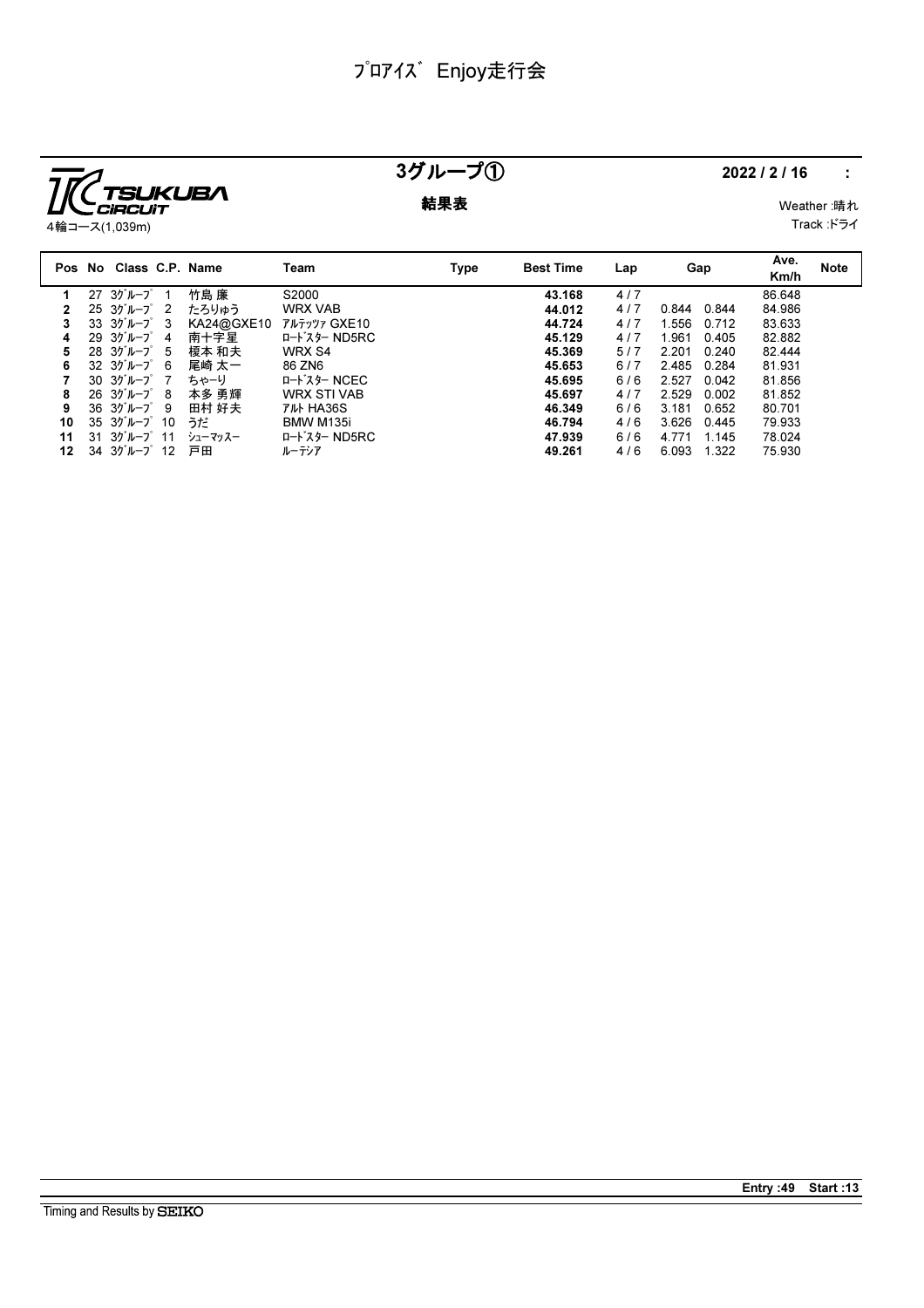

## 3グループ① 2022/2/16 :

**結果表** Weather :晴れ Track :ドライ

|    | Pos No Class C.P. Name                          |            | Team                                              | Type | <b>Best Time</b> | Lap | Gap            | Ave.<br>Km/h | <b>Note</b> |
|----|-------------------------------------------------|------------|---------------------------------------------------|------|------------------|-----|----------------|--------------|-------------|
|    | $27 \t37 \t1 - 7 \t1$                           | 竹島 廉       | S2000                                             |      | 43.168           | 4/7 |                | 86.648       |             |
|    | $25.3$ <sup>y'</sup> $\nu$ - $7^\circ$ 2        | たろりゅう      | <b>WRX VAB</b>                                    |      | 44.012           | 4/7 | 0.844<br>0.844 | 84.986       |             |
| 3  | $33 \frac{3}{10} - 7^{\circ} 3$                 | KA24@GXE10 | アルテッツァ GXE10                                      |      | 44.724           | 4/7 | 1.556<br>0.712 | 83.633       |             |
| 4  | $29.30 \text{ m} - 7^{\circ}$ 4                 | 南十字星       | ロート・スター ND5RC                                     |      | 45.129           | 4/7 | 1.961<br>0.405 | 82.882       |             |
| 5  | $28 \t30^{\circ}$ $\mu$ $-7^{\circ}$ 5          | 榎本 和夫      | WRX S4                                            |      | 45.369           | 5/7 | 2.201<br>0.240 | 82.444       |             |
| 6  | $32 \t30^{\circ} \nu - 7^{\circ} 6$             | 尾崎 太一      | 86 ZN6                                            |      | 45.653           | 6/7 | 2.485<br>0.284 | 81.931       |             |
|    | $30.30^{*}$ $\nu$ - $7^{*}$ 7                   | ちゃーり       | ロードスター NCEC                                       |      | 45.695           | 6/6 | 2.527<br>0.042 | 81.856       |             |
| 8  | $26 \t37'' - 7' \t8$                            | 本多 勇輝      | <b>WRX STI VAB</b>                                |      | 45.697           | 4/7 | 2.529<br>0.002 | 81.852       |             |
| 9  | $36 \t37'' - 7' \t9$                            | 田村 好夫      | <b>TILL HA36S</b>                                 |      | 46.349           | 6/6 | 3.181<br>0.652 | 80.701       |             |
| 10 | $35.3$ <sup>y'</sup> $\nu$ - $7^\circ$ 10       | うだ         | BMW M135i                                         |      | 46.794           | 4/6 | 3.626<br>0.445 | 79.933       |             |
| 11 | $31 \frac{3}{7}$ $11$                           | シューマッスー    | $I - K^2$ $\lambda$ $\theta$ $\sim$ $N$ $D$ $5RC$ |      | 47.939           | 6/6 | 1.145<br>4.771 | 78.024       |             |
| 12 | $34$ $35$ <sup><math>\mu</math></sup> $-7$ $12$ | 戸田         | ルーテシア                                             |      | 49.261           | 4/6 | 6.093<br>1.322 | 75.930       |             |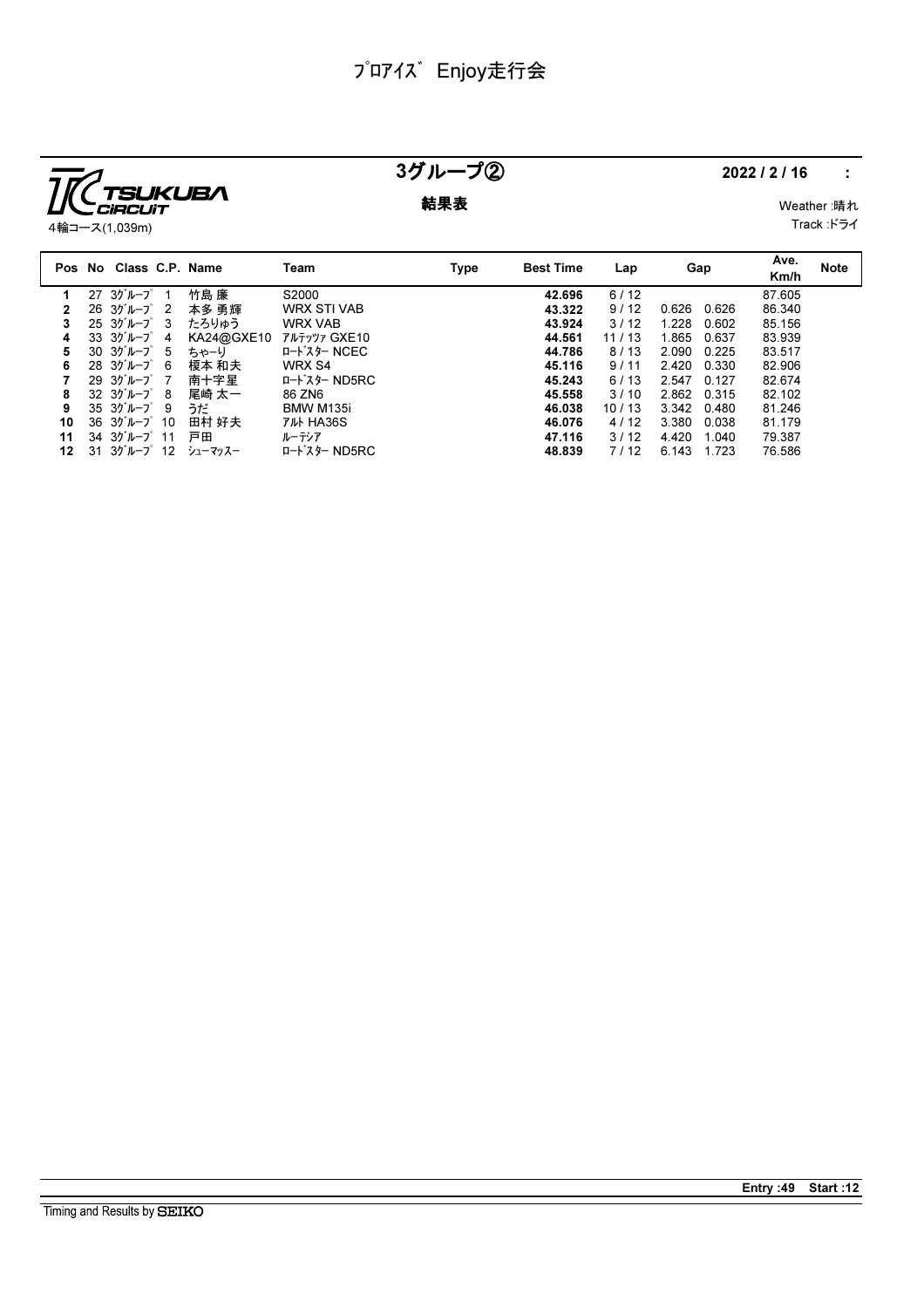

### 3グループ② 2022/2/16 :

**結果表** Weather :晴れ

Track :ドライ

| Pos No | Class C.P. Name                              |    |            | Team               | <b>Type</b> | <b>Best Time</b> | Lap   |       | Gap   | Ave.<br>Km/h | <b>Note</b> |
|--------|----------------------------------------------|----|------------|--------------------|-------------|------------------|-------|-------|-------|--------------|-------------|
|        | $27 \t37 \nu - 7$                            |    | 竹島 廉       | S2000              |             | 42.696           | 6/12  |       |       | 87.605       |             |
|        | $26.3$ <sup>y</sup> $\mu$ - $7^\circ$ 2      |    | 本多 勇輝      | <b>WRX STI VAB</b> |             | 43.322           | 9/12  | 0.626 | 0.626 | 86.340       |             |
|        | $25 \frac{3}{7}$ $\frac{1}{2}$ $\frac{3}{1}$ |    | たろりゅう      | <b>WRX VAB</b>     |             | 43.924           | 3/12  | 1.228 | 0.602 | 85.156       |             |
| 4      | $33 \t37''$ $\nu - 7'$ 4                     |    | KA24@GXE10 | アルテッツァ GXE10       |             | 44.561           | 11/13 | 1.865 | 0.637 | 83.939       |             |
| 5.     | 30 3グループ                                     | -5 | ちゃーり       | ロードスター NCEC        |             | 44.786           | 8/13  | 2.090 | 0.225 | 83.517       |             |
| 6      | $28 \t30^{\circ}$ $\mu$ - $7^{\circ}$ 6      |    | 榎本 和夫      | WRX S4             |             | 45.116           | 9/11  | 2.420 | 0.330 | 82.906       |             |
|        | $29.35h - 7^{\circ}$ 7                       |    | 南十字星       | ロート・スター ND5RC      |             | 45.243           | 6/13  | 2.547 | 0.127 | 82.674       |             |
| 8      | $32 \t37'' - 7' \t8$                         |    | 尾崎 太一      | 86 ZN6             |             | 45.558           | 3/10  | 2.862 | 0.315 | 82.102       |             |
| 9      | $35 \frac{3}{10} - 7$ 9                      |    | うだ         | BMW M135i          |             | 46.038           | 10/13 | 3.342 | 0.480 | 81.246       |             |
| 10     | $36 \frac{3}{7}$ $10$                        |    | 田村 好夫      | <b>TILL HA36S</b>  |             | 46.076           | 4/12  | 3.380 | 0.038 | 81.179       |             |
| 11     | $34.35$ $\n  11$                             |    | 戸田         | ルーテシア              |             | 47.116           | 3/12  | 4.420 | 1.040 | 79.387       |             |
| 12     | $31 \t30^{\circ}$ $\mu$ $-2^{\circ}$ 12      |    | シューマッスー    | ロート・スター ND5RC      |             | 48.839           | 7/12  | 6.143 | 1.723 | 76.586       |             |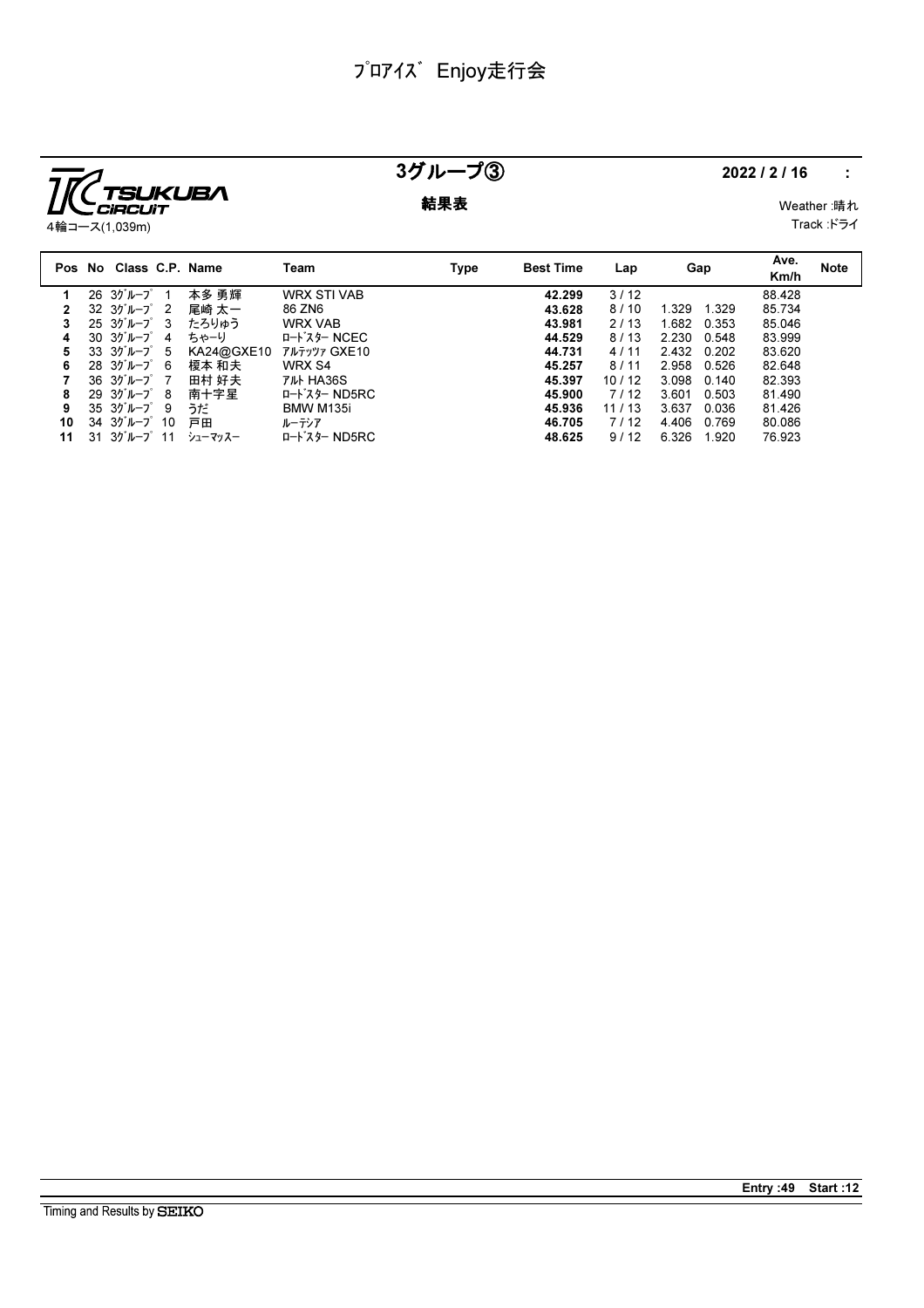

## $37L - 73$  2022/2/16 :

**結果表** Weather :晴れ Track :ドライ

|    | Pos No Class C.P. Name                       |            | Team               | Type | <b>Best Time</b> | Lap   | Gap   | Ave.<br>Km/h    | <b>Note</b> |
|----|----------------------------------------------|------------|--------------------|------|------------------|-------|-------|-----------------|-------------|
|    | 26 3グループ                                     | 本多 勇輝      | <b>WRX STI VAB</b> |      | 42.299           | 3/12  |       | 88.428          |             |
|    | $32 \t37 \nu - 7$ 2                          | 尾崎 太一      | 86 ZN6             |      | 43.628           | 8/10  | 1.329 | 85.734<br>1.329 |             |
| 3  | $25 \frac{3}{7}$ $\frac{1}{2}$ $\frac{3}{1}$ | たろりゅう      | <b>WRX VAB</b>     |      | 43.981           | 2/13  | 1.682 | 85.046<br>0.353 |             |
| 4  | $30 \t30 \t11 - 7 \t4$                       | ちゃーり       | ロードスター NCEC        |      | 44.529           | 8/13  | 2.230 | 83.999<br>0.548 |             |
| 5  | $33 \frac{3}{7}$ $10 - \frac{7}{7}$ 5        | KA24@GXE10 | アルテッツァ GXE10       |      | 44.731           | 4/11  | 2.432 | 83.620<br>0.202 |             |
| 6  | $28 \t30^{\circ} \nu - 7^{\circ} 6$          | 榎本 和夫      | WRX S4             |      | 45.257           | 8/11  | 2.958 | 82.648<br>0.526 |             |
|    | $36 \t37'' - 7$ 7                            | 田村 好夫      | <b>TILL HA36S</b>  |      | 45.397           | 10/12 | 3.098 | 82.393<br>0.140 |             |
| 8  | $29.3$ <sup>t</sup> $\nu$ - $7^\circ$ 8      | 南十字星       | ロート・スター ND5RC      |      | 45.900           | 7/12  | 3.601 | 0.503<br>81.490 |             |
| 9  | $35 \frac{3}{7}$ $10 - \frac{3}{7}$ 9        | うだ         | BMW M135i          |      | 45.936           | 11/13 | 3.637 | 81.426<br>0.036 |             |
| 10 | $34.3$ <sup>y</sup> $\mu$ - $7^\circ$ 10     | 戸田         | ルーテシア              |      | 46.705           | 7/12  | 4.406 | 0.769<br>80.086 |             |
| 11 | $31 \frac{3}{7}$ $11$                        | シューマッスー    | ロート・スター ND5RC      |      | 48.625           | 9/12  | 6.326 | 1.920<br>76.923 |             |